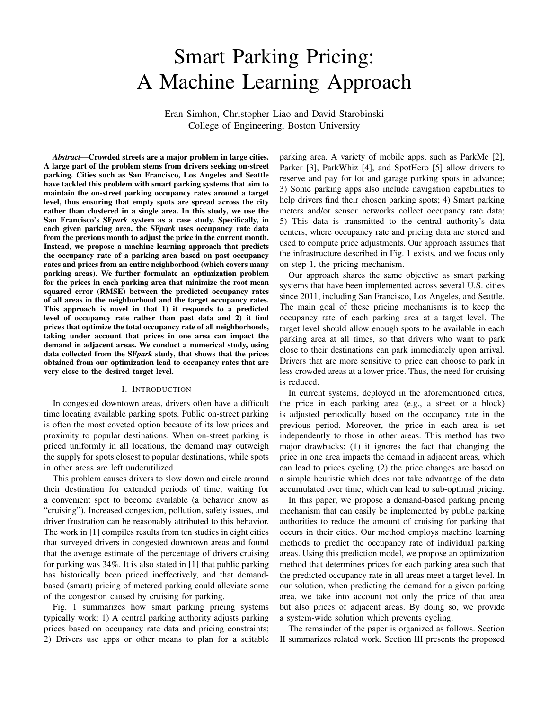# Smart Parking Pricing: A Machine Learning Approach

Eran Simhon, Christopher Liao and David Starobinski College of Engineering, Boston University

*Abstract*—Crowded streets are a major problem in large cities. A large part of the problem stems from drivers seeking on-street parking. Cities such as San Francisco, Los Angeles and Seattle have tackled this problem with smart parking systems that aim to maintain the on-street parking occupancy rates around a target level, thus ensuring that empty spots are spread across the city rather than clustered in a single area. In this study, we use the San Francisco's SF*park* system as a case study. Specifically, in each given parking area, the SF*park* uses occupancy rate data from the previous month to adjust the price in the current month. Instead, we propose a machine learning approach that predicts the occupancy rate of a parking area based on past occupancy rates and prices from an entire neighborhood (which covers many parking areas). We further formulate an optimization problem for the prices in each parking area that minimize the root mean squared error (RMSE) between the predicted occupancy rates of all areas in the neighborhood and the target occupancy rates. This approach is novel in that 1) it responds to a predicted level of occupancy rate rather than past data and 2) it find prices that optimize the total occupancy rate of all neighborhoods, taking under account that prices in one area can impact the demand in adjacent areas. We conduct a numerical study, using data collected from the SF*park* study, that shows that the prices obtained from our optimization lead to occupancy rates that are very close to the desired target level.

## I. INTRODUCTION

In congested downtown areas, drivers often have a difficult time locating available parking spots. Public on-street parking is often the most coveted option because of its low prices and proximity to popular destinations. When on-street parking is priced uniformly in all locations, the demand may outweigh the supply for spots closest to popular destinations, while spots in other areas are left underutilized.

This problem causes drivers to slow down and circle around their destination for extended periods of time, waiting for a convenient spot to become available (a behavior know as "cruising"). Increased congestion, pollution, safety issues, and driver frustration can be reasonably attributed to this behavior. The work in [1] compiles results from ten studies in eight cities that surveyed drivers in congested downtown areas and found that the average estimate of the percentage of drivers cruising for parking was 34%. It is also stated in [1] that public parking has historically been priced ineffectively, and that demandbased (smart) pricing of metered parking could alleviate some of the congestion caused by cruising for parking.

Fig. 1 summarizes how smart parking pricing systems typically work: 1) A central parking authority adjusts parking prices based on occupancy rate data and pricing constraints; 2) Drivers use apps or other means to plan for a suitable parking area. A variety of mobile apps, such as ParkMe [2], Parker [3], ParkWhiz [4], and SpotHero [5] allow drivers to reserve and pay for lot and garage parking spots in advance; 3) Some parking apps also include navigation capabilities to help drivers find their chosen parking spots; 4) Smart parking meters and/or sensor networks collect occupancy rate data; 5) This data is transmitted to the central authority's data centers, where occupancy rate and pricing data are stored and used to compute price adjustments. Our approach assumes that the infrastructure described in Fig. 1 exists, and we focus only on step 1, the pricing mechanism.

Our approach shares the same objective as smart parking systems that have been implemented across several U.S. cities since 2011, including San Francisco, Los Angeles, and Seattle. The main goal of these pricing mechanisms is to keep the occupancy rate of each parking area at a target level. The target level should allow enough spots to be available in each parking area at all times, so that drivers who want to park close to their destinations can park immediately upon arrival. Drivers that are more sensitive to price can choose to park in less crowded areas at a lower price. Thus, the need for cruising is reduced.

In current systems, deployed in the aforementioned cities, the price in each parking area (e.g., a street or a block) is adjusted periodically based on the occupancy rate in the previous period. Moreover, the price in each area is set independently to those in other areas. This method has two major drawbacks: (1) it ignores the fact that changing the price in one area impacts the demand in adjacent areas, which can lead to prices cycling (2) the price changes are based on a simple heuristic which does not take advantage of the data accumulated over time, which can lead to sub-optimal pricing.

In this paper, we propose a demand-based parking pricing mechanism that can easily be implemented by public parking authorities to reduce the amount of cruising for parking that occurs in their cities. Our method employs machine learning methods to predict the occupancy rate of individual parking areas. Using this prediction model, we propose an optimization method that determines prices for each parking area such that the predicted occupancy rate in all areas meet a target level. In our solution, when predicting the demand for a given parking area, we take into account not only the price of that area but also prices of adjacent areas. By doing so, we provide a system-wide solution which prevents cycling.

The remainder of the paper is organized as follows. Section II summarizes related work. Section III presents the proposed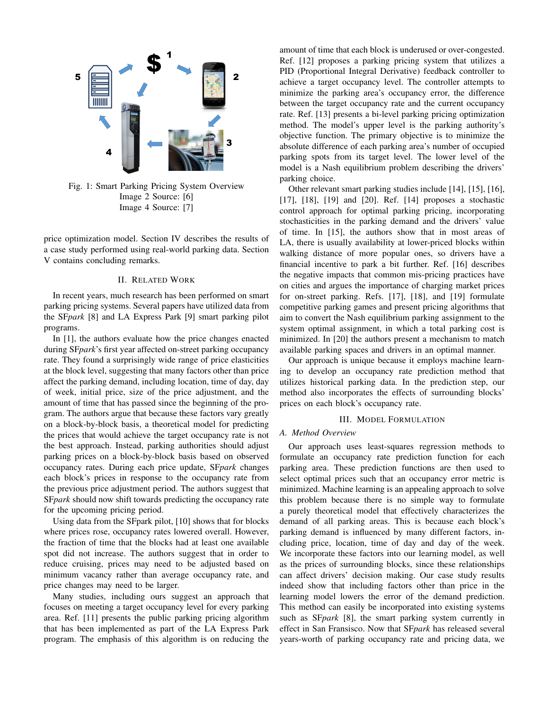

Fig. 1: Smart Parking Pricing System Overview Image 2 Source: [6] Image 4 Source: [7]

price optimization model. Section IV describes the results of a case study performed using real-world parking data. Section V contains concluding remarks.

# II. RELATED WORK

In recent years, much research has been performed on smart parking pricing systems. Several papers have utilized data from the SF*park* [8] and LA Express Park [9] smart parking pilot programs.

In [1], the authors evaluate how the price changes enacted during SF*park*'s first year affected on-street parking occupancy rate. They found a surprisingly wide range of price elasticities at the block level, suggesting that many factors other than price affect the parking demand, including location, time of day, day of week, initial price, size of the price adjustment, and the amount of time that has passed since the beginning of the program. The authors argue that because these factors vary greatly on a block-by-block basis, a theoretical model for predicting the prices that would achieve the target occupancy rate is not the best approach. Instead, parking authorities should adjust parking prices on a block-by-block basis based on observed occupancy rates. During each price update, SF*park* changes each block's prices in response to the occupancy rate from the previous price adjustment period. The authors suggest that SF*park* should now shift towards predicting the occupancy rate for the upcoming pricing period.

Using data from the SFpark pilot, [10] shows that for blocks where prices rose, occupancy rates lowered overall. However, the fraction of time that the blocks had at least one available spot did not increase. The authors suggest that in order to reduce cruising, prices may need to be adjusted based on minimum vacancy rather than average occupancy rate, and price changes may need to be larger.

Many studies, including ours suggest an approach that focuses on meeting a target occupancy level for every parking area. Ref. [11] presents the public parking pricing algorithm that has been implemented as part of the LA Express Park program. The emphasis of this algorithm is on reducing the amount of time that each block is underused or over-congested. Ref. [12] proposes a parking pricing system that utilizes a PID (Proportional Integral Derivative) feedback controller to achieve a target occupancy level. The controller attempts to minimize the parking area's occupancy error, the difference between the target occupancy rate and the current occupancy rate. Ref. [13] presents a bi-level parking pricing optimization method. The model's upper level is the parking authority's objective function. The primary objective is to minimize the absolute difference of each parking area's number of occupied parking spots from its target level. The lower level of the model is a Nash equilibrium problem describing the drivers' parking choice.

Other relevant smart parking studies include [14], [15], [16], [17], [18], [19] and [20]. Ref. [14] proposes a stochastic control approach for optimal parking pricing, incorporating stochasticities in the parking demand and the drivers' value of time. In [15], the authors show that in most areas of LA, there is usually availability at lower-priced blocks within walking distance of more popular ones, so drivers have a financial incentive to park a bit further. Ref. [16] describes the negative impacts that common mis-pricing practices have on cities and argues the importance of charging market prices for on-street parking. Refs. [17], [18], and [19] formulate competitive parking games and present pricing algorithms that aim to convert the Nash equilibrium parking assignment to the system optimal assignment, in which a total parking cost is minimized. In [20] the authors present a mechanism to match available parking spaces and drivers in an optimal manner.

Our approach is unique because it employs machine learning to develop an occupancy rate prediction method that utilizes historical parking data. In the prediction step, our method also incorporates the effects of surrounding blocks' prices on each block's occupancy rate.

## III. MODEL FORMULATION

# *A. Method Overview*

Our approach uses least-squares regression methods to formulate an occupancy rate prediction function for each parking area. These prediction functions are then used to select optimal prices such that an occupancy error metric is minimized. Machine learning is an appealing approach to solve this problem because there is no simple way to formulate a purely theoretical model that effectively characterizes the demand of all parking areas. This is because each block's parking demand is influenced by many different factors, including price, location, time of day and day of the week. We incorporate these factors into our learning model, as well as the prices of surrounding blocks, since these relationships can affect drivers' decision making. Our case study results indeed show that including factors other than price in the learning model lowers the error of the demand prediction. This method can easily be incorporated into existing systems such as SF*park* [8], the smart parking system currently in effect in San Fransisco. Now that SF*park* has released several years-worth of parking occupancy rate and pricing data, we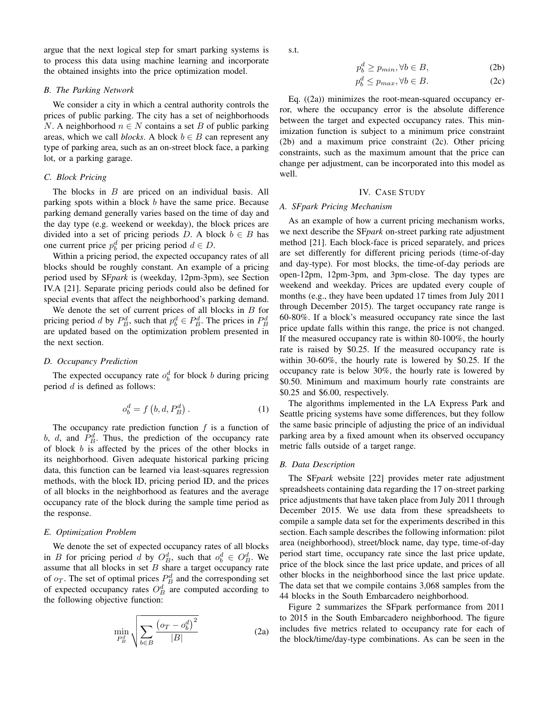argue that the next logical step for smart parking systems is to process this data using machine learning and incorporate the obtained insights into the price optimization model.

## *B. The Parking Network*

We consider a city in which a central authority controls the prices of public parking. The city has a set of neighborhoods N. A neighborhood  $n \in N$  contains a set B of public parking areas, which we call *blocks*. A block  $b \in B$  can represent any type of parking area, such as an on-street block face, a parking lot, or a parking garage.

# *C. Block Pricing*

The blocks in B are priced on an individual basis. All parking spots within a block b have the same price. Because parking demand generally varies based on the time of day and the day type (e.g. weekend or weekday), the block prices are divided into a set of pricing periods D. A block  $b \in B$  has one current price  $p_b^d$  per pricing period  $d \in D$ .

Within a pricing period, the expected occupancy rates of all blocks should be roughly constant. An example of a pricing period used by SF*park* is (weekday, 12pm-3pm), see Section IV.A [21]. Separate pricing periods could also be defined for special events that affect the neighborhood's parking demand.

We denote the set of current prices of all blocks in  $B$  for pricing period d by  $P_B^d$ , such that  $p_b^d \in P_B^d$ . The prices in  $P_B^d$ are updated based on the optimization problem presented in the next section.

#### *D. Occupancy Prediction*

The expected occupancy rate  $o_b^d$  for block b during pricing period  $d$  is defined as follows:

$$
o_b^d = f\left(b, d, P_B^d\right). \tag{1}
$$

The occupancy rate prediction function  $f$  is a function of b, d, and  $P_B^d$ . Thus, the prediction of the occupancy rate of block  $b$  is affected by the prices of the other blocks in its neighborhood. Given adequate historical parking pricing data, this function can be learned via least-squares regression methods, with the block ID, pricing period ID, and the prices of all blocks in the neighborhood as features and the average occupancy rate of the block during the sample time period as the response.

# *E. Optimization Problem*

We denote the set of expected occupancy rates of all blocks in B for pricing period d by  $O_B^d$ , such that  $o_b^d \in O_B^d$ . We assume that all blocks in set  $B$  share a target occupancy rate of  $o_T$ . The set of optimal prices  $P_B^d$  and the corresponding set of expected occupancy rates  $O_B^d$  are computed according to the following objective function:

$$
\min_{P_B^d} \sqrt{\sum_{b \in B} \frac{\left(o_T - o_b^d\right)^2}{|B|}} \tag{2a}
$$

s.t.

$$
p_b^d \ge p_{min}, \forall b \in B,\tag{2b}
$$

$$
p_b^d \le p_{max}, \forall b \in B. \tag{2c}
$$

Eq.  $((2a))$  minimizes the root-mean-squared occupancy error, where the occupancy error is the absolute difference between the target and expected occupancy rates. This minimization function is subject to a minimum price constraint (2b) and a maximum price constraint (2c). Other pricing constraints, such as the maximum amount that the price can change per adjustment, can be incorporated into this model as well.

# IV. CASE STUDY

### *A. SFpark Pricing Mechanism*

As an example of how a current pricing mechanism works, we next describe the SF*park* on-street parking rate adjustment method [21]. Each block-face is priced separately, and prices are set differently for different pricing periods (time-of-day and day-type). For most blocks, the time-of-day periods are open-12pm, 12pm-3pm, and 3pm-close. The day types are weekend and weekday. Prices are updated every couple of months (e.g., they have been updated 17 times from July 2011 through December 2015). The target occupancy rate range is 60-80%. If a block's measured occupancy rate since the last price update falls within this range, the price is not changed. If the measured occupancy rate is within 80-100%, the hourly rate is raised by \$0.25. If the measured occupancy rate is within 30-60%, the hourly rate is lowered by \$0.25. If the occupancy rate is below 30%, the hourly rate is lowered by \$0.50. Minimum and maximum hourly rate constraints are \$0.25 and \$6.00, respectively.

The algorithms implemented in the LA Express Park and Seattle pricing systems have some differences, but they follow the same basic principle of adjusting the price of an individual parking area by a fixed amount when its observed occupancy metric falls outside of a target range.

# *B. Data Description*

The SF*park* website [22] provides meter rate adjustment spreadsheets containing data regarding the 17 on-street parking price adjustments that have taken place from July 2011 through December 2015. We use data from these spreadsheets to compile a sample data set for the experiments described in this section. Each sample describes the following information: pilot area (neighborhood), street/block name, day type, time-of-day period start time, occupancy rate since the last price update, price of the block since the last price update, and prices of all other blocks in the neighborhood since the last price update. The data set that we compile contains 3,068 samples from the 44 blocks in the South Embarcadero neighborhood.

Figure 2 summarizes the SFpark performance from 2011 to 2015 in the South Embarcadero neighborhood. The figure includes five metrics related to occupancy rate for each of the block/time/day-type combinations. As can be seen in the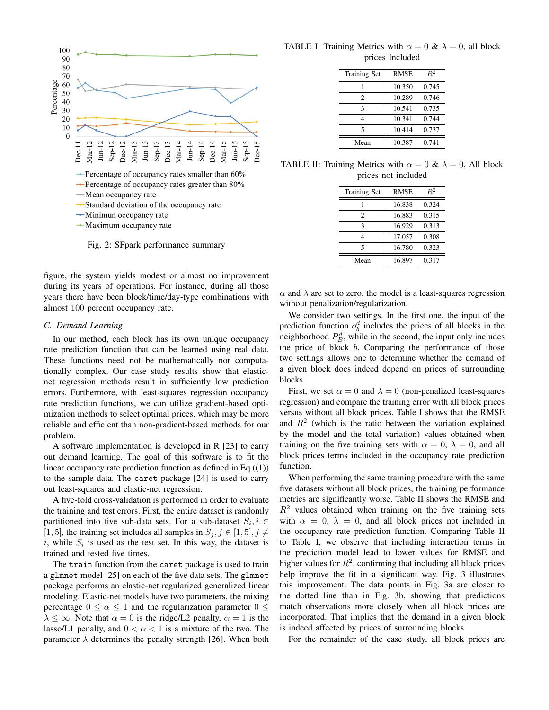

Fig. 2: SFpark performance summary

figure, the system yields modest or almost no improvement during its years of operations. For instance, during all those years there have been block/time/day-type combinations with almost 100 percent occupancy rate.

## *C. Demand Learning*

In our method, each block has its own unique occupancy rate prediction function that can be learned using real data. These functions need not be mathematically nor computationally complex. Our case study results show that elasticnet regression methods result in sufficiently low prediction errors. Furthermore, with least-squares regression occupancy rate prediction functions, we can utilize gradient-based optimization methods to select optimal prices, which may be more reliable and efficient than non-gradient-based methods for our problem.

A software implementation is developed in R [23] to carry out demand learning. The goal of this software is to fit the linear occupancy rate prediction function as defined in Eq. $((1))$ to the sample data. The caret package [24] is used to carry out least-squares and elastic-net regression.

A five-fold cross-validation is performed in order to evaluate the training and test errors. First, the entire dataset is randomly partitioned into five sub-data sets. For a sub-dataset  $S_i, i \in$ [1, 5], the training set includes all samples in  $S_j, j \in [1, 5], j \neq j$ i, while  $S_i$  is used as the test set. In this way, the dataset is trained and tested five times.

The train function from the caret package is used to train a glmnet model [25] on each of the five data sets. The glmnet package performs an elastic-net regularized generalized linear modeling. Elastic-net models have two parameters, the mixing percentage  $0 \le \alpha \le 1$  and the regularization parameter  $0 \le$  $\lambda \leq \infty$ . Note that  $\alpha = 0$  is the ridge/L2 penalty,  $\alpha = 1$  is the lasso/L1 penalty, and  $0 < \alpha < 1$  is a mixture of the two. The parameter  $\lambda$  determines the penalty strength [26]. When both

TABLE I: Training Metrics with  $\alpha = 0$  &  $\lambda = 0$ , all block prices Included

| Training Set   | <b>RMSE</b> | $R^2$ |
|----------------|-------------|-------|
|                | 10.350      | 0.745 |
| $\overline{c}$ | 10.289      | 0.746 |
| 3              | 10.541      | 0.735 |
| 4              | 10.341      | 0.744 |
| 5              | 10.414      | 0.737 |
| Mean           | 10.387      | 0.741 |

TABLE II: Training Metrics with  $\alpha = 0$  &  $\lambda = 0$ , All block prices not included

| <b>Training Set</b> | <b>RMSE</b> | $R^2$ |
|---------------------|-------------|-------|
|                     | 16.838      | 0.324 |
| $\mathfrak{D}$      | 16.883      | 0.315 |
| 3                   | 16.929      | 0.313 |
| 4                   | 17.057      | 0.308 |
| 5                   | 16.780      | 0.323 |
| Mean                | 16.897      | 0.317 |

 $\alpha$  and  $\lambda$  are set to zero, the model is a least-squares regression without penalization/regularization.

We consider two settings. In the first one, the input of the prediction function  $o_b^d$  includes the prices of all blocks in the neighborhood  $P_B^d$ , while in the second, the input only includes the price of block b. Comparing the performance of those two settings allows one to determine whether the demand of a given block does indeed depend on prices of surrounding blocks.

First, we set  $\alpha = 0$  and  $\lambda = 0$  (non-penalized least-squares regression) and compare the training error with all block prices versus without all block prices. Table I shows that the RMSE and  $R<sup>2</sup>$  (which is the ratio between the variation explained by the model and the total variation) values obtained when training on the five training sets with  $\alpha = 0$ ,  $\lambda = 0$ , and all block prices terms included in the occupancy rate prediction function.

When performing the same training procedure with the same five datasets without all block prices, the training performance metrics are significantly worse. Table II shows the RMSE and  $R<sup>2</sup>$  values obtained when training on the five training sets with  $\alpha = 0$ ,  $\lambda = 0$ , and all block prices not included in the occupancy rate prediction function. Comparing Table II to Table I, we observe that including interaction terms in the prediction model lead to lower values for RMSE and higher values for  $R^2$ , confirming that including all block prices help improve the fit in a significant way. Fig. 3 illustrates this improvement. The data points in Fig. 3a are closer to the dotted line than in Fig. 3b, showing that predictions match observations more closely when all block prices are incorporated. That implies that the demand in a given block is indeed affected by prices of surrounding blocks.

For the remainder of the case study, all block prices are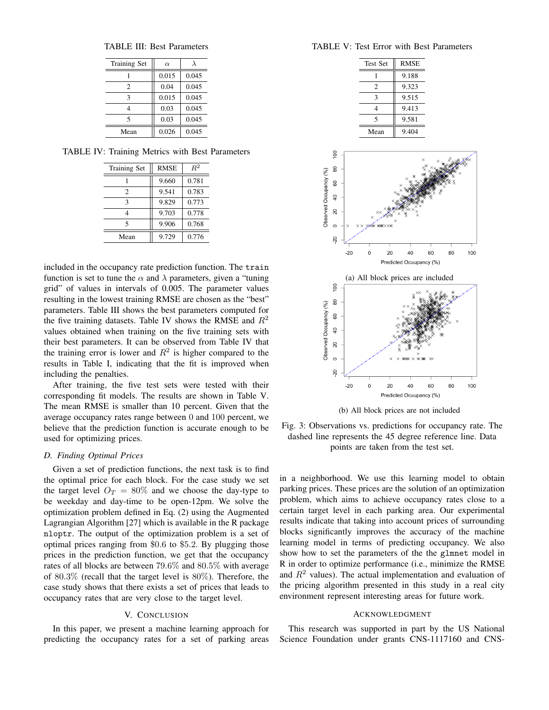TABLE III: Best Parameters

| <b>Training Set</b>      | $\alpha$ | λ     |
|--------------------------|----------|-------|
|                          | 0.015    | 0.045 |
| 2                        | 0.04     | 0.045 |
| 3                        | 0.015    | 0.045 |
| 4                        | 0.03     | 0.045 |
| $\overline{\phantom{0}}$ | 0.03     | 0.045 |
| Mean                     | 0.026    | 0.045 |

TABLE IV: Training Metrics with Best Parameters

| <b>Training Set</b> | <b>RMSE</b> | $R^2$ |
|---------------------|-------------|-------|
|                     | 9.660       | 0.781 |
| 2                   | 9.541       | 0.783 |
| 3                   | 9.829       | 0.773 |
|                     | 9.703       | 0.778 |
| 5                   | 9.906       | 0.768 |
| Mean                | 9.729       | 0.776 |

included in the occupancy rate prediction function. The train function is set to tune the  $\alpha$  and  $\lambda$  parameters, given a "tuning" grid" of values in intervals of 0.005. The parameter values resulting in the lowest training RMSE are chosen as the "best" parameters. Table III shows the best parameters computed for the five training datasets. Table IV shows the RMSE and  $R^2$ values obtained when training on the five training sets with their best parameters. It can be observed from Table IV that the training error is lower and  $R^2$  is higher compared to the results in Table I, indicating that the fit is improved when including the penalties.

After training, the five test sets were tested with their corresponding fit models. The results are shown in Table V. The mean RMSE is smaller than 10 percent. Given that the average occupancy rates range between 0 and 100 percent, we believe that the prediction function is accurate enough to be used for optimizing prices.

## *D. Finding Optimal Prices*

Given a set of prediction functions, the next task is to find the optimal price for each block. For the case study we set the target level  $O_T = 80\%$  and we choose the day-type to be weekday and day-time to be open-12pm. We solve the optimization problem defined in Eq. (2) using the Augmented Lagrangian Algorithm [27] which is available in the R package nloptr. The output of the optimization problem is a set of optimal prices ranging from \$0.6 to \$5.2. By plugging those prices in the prediction function, we get that the occupancy rates of all blocks are between 79.6% and 80.5% with average of 80.3% (recall that the target level is 80%). Therefore, the case study shows that there exists a set of prices that leads to occupancy rates that are very close to the target level.

## V. CONCLUSION

In this paper, we present a machine learning approach for predicting the occupancy rates for a set of parking areas

## TABLE V: Test Error with Best Parameters

| <b>Test Set</b> | <b>RMSE</b> |
|-----------------|-------------|
|                 | 9.188       |
| 2               | 9.323       |
| 3               | 9.515       |
| 4               | 9.413       |
| 5               | 9.581       |
| Mean            | 9.404       |



(b) All block prices are not included

Fig. 3: Observations vs. predictions for occupancy rate. The dashed line represents the 45 degree reference line. Data points are taken from the test set.

in a neighborhood. We use this learning model to obtain parking prices. These prices are the solution of an optimization problem, which aims to achieve occupancy rates close to a certain target level in each parking area. Our experimental results indicate that taking into account prices of surrounding blocks significantly improves the accuracy of the machine learning model in terms of predicting occupancy. We also show how to set the parameters of the the glmnet model in R in order to optimize performance (i.e., minimize the RMSE and  $R<sup>2</sup>$  values). The actual implementation and evaluation of the pricing algorithm presented in this study in a real city environment represent interesting areas for future work.

## ACKNOWLEDGMENT

This research was supported in part by the US National Science Foundation under grants CNS-1117160 and CNS-